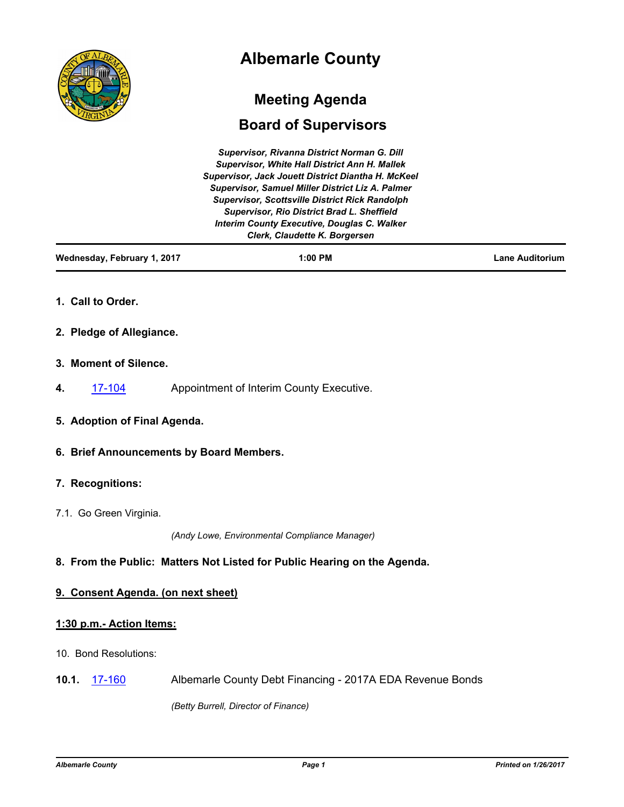

# **Albemarle County**

# **Meeting Agenda**

# **Board of Supervisors**

| Supervisor, Rivanna District Norman G. Dill             |
|---------------------------------------------------------|
| <b>Supervisor, White Hall District Ann H. Mallek</b>    |
| Supervisor, Jack Jouett District Diantha H. McKeel      |
| <b>Supervisor, Samuel Miller District Liz A. Palmer</b> |
| <b>Supervisor, Scottsville District Rick Randolph</b>   |
| Supervisor, Rio District Brad L. Sheffield              |
| <b>Interim County Executive, Douglas C. Walker</b>      |
| Clerk, Claudette K. Borgersen                           |
|                                                         |

| Wednesday, February 1, 2017 | $1:00$ PM | <b>Lane Auditorium</b> |
|-----------------------------|-----------|------------------------|
|                             |           |                        |

- **1. Call to Order.**
- **2. Pledge of Allegiance.**
- **3. Moment of Silence.**
- **4.** [17-104](http://albemarle.legistar.com/gateway.aspx?m=l&id=/matter.aspx?key=2386) Appointment of Interim County Executive.
- **5. Adoption of Final Agenda.**
- **6. Brief Announcements by Board Members.**
- **7. Recognitions:**
- 7.1. Go Green Virginia.

*(Andy Lowe, Environmental Compliance Manager)*

# **8. From the Public: Matters Not Listed for Public Hearing on the Agenda.**

# **9. Consent Agenda. (on next sheet)**

# **1:30 p.m.- Action Items:**

- 10. Bond Resolutions:
- **10.1.** [17-160](http://albemarle.legistar.com/gateway.aspx?m=l&id=/matter.aspx?key=2442) Albemarle County Debt Financing 2017A EDA Revenue Bonds

*(Betty Burrell, Director of Finance)*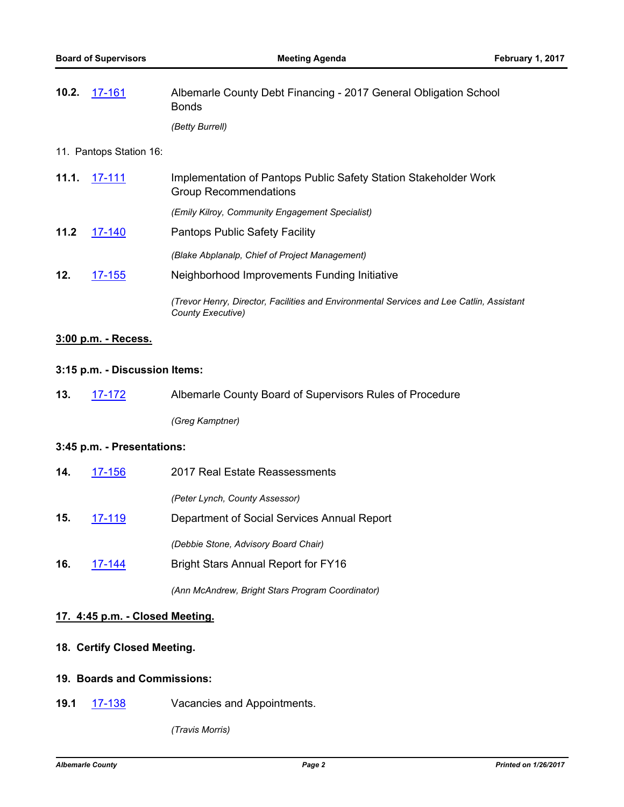| 10.2. 17-161 | Albemarle County Debt Financing - 2017 General Obligation School<br><b>Bonds</b> |
|--------------|----------------------------------------------------------------------------------|
|              | (Betty Burrell)                                                                  |

#### 11. Pantops Station 16:

| 11.1. | $17 - 111$ | Implementation of Pantops Public Safety Station Stakeholder Work<br><b>Group Recommendations</b>              |
|-------|------------|---------------------------------------------------------------------------------------------------------------|
|       |            | (Emily Kilroy, Community Engagement Specialist)                                                               |
| 11.2  | 17-140     | <b>Pantops Public Safety Facility</b>                                                                         |
|       |            | (Blake Abplanalp, Chief of Project Management)                                                                |
| 12.   | $17 - 155$ | Neighborhood Improvements Funding Initiative                                                                  |
|       |            | (Trevor Henry, Director, Facilities and Environmental Services and Lee Catlin, Assistant<br>County Executive) |

## **3:00 p.m. - Recess.**

## **3:15 p.m. - Discussion Items:**

| 13. | 17-172 | Albemarle County Board of Supervisors Rules of Procedure |
|-----|--------|----------------------------------------------------------|
|     |        | (Greg Kamptner)                                          |

#### **3:45 p.m. - Presentations:**

| 14. | 17-156 | 2017 Real Estate Reassessments              |
|-----|--------|---------------------------------------------|
|     |        | (Peter Lynch, County Assessor)              |
| 15. | 17-119 | Department of Social Services Annual Report |
|     |        | (Debbie Stone, Advisory Board Chair)        |
| 16. | 17-144 | <b>Bright Stars Annual Report for FY16</b>  |

*(Ann McAndrew, Bright Stars Program Coordinator)*

# **17. 4:45 p.m. - Closed Meeting.**

# **18. Certify Closed Meeting.**

# **19. Boards and Commissions:**

**19.1** [17-138](http://albemarle.legistar.com/gateway.aspx?m=l&id=/matter.aspx?key=2420) Vacancies and Appointments.

*(Travis Morris)*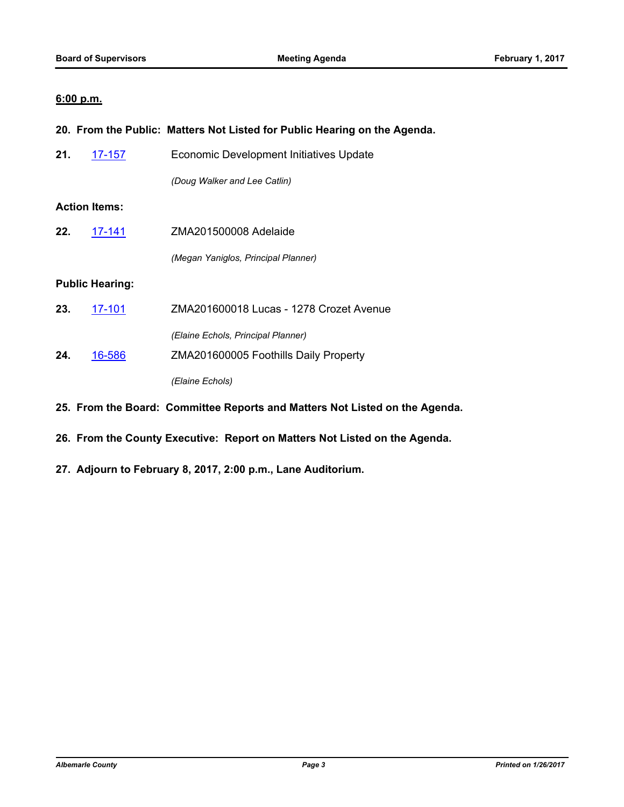# **6:00 p.m.**

|     |                        | 20. From the Public: Matters Not Listed for Public Hearing on the Agenda. |
|-----|------------------------|---------------------------------------------------------------------------|
| 21. | <u>17-157</u>          | <b>Economic Development Initiatives Update</b>                            |
|     |                        | (Doug Walker and Lee Catlin)                                              |
|     | <b>Action Items:</b>   |                                                                           |
| 22. | 17-141                 | ZMA201500008 Adelaide                                                     |
|     |                        | (Megan Yaniglos, Principal Planner)                                       |
|     | <b>Public Hearing:</b> |                                                                           |
| 23. | 17-101                 | ZMA201600018 Lucas - 1278 Crozet Avenue                                   |
|     |                        | (Elaine Echols, Principal Planner)                                        |
| 24. | 16-586                 | ZMA201600005 Foothills Daily Property                                     |
|     |                        | (Elaine Echols)                                                           |
|     |                        |                                                                           |

- **25. From the Board: Committee Reports and Matters Not Listed on the Agenda.**
- **26. From the County Executive: Report on Matters Not Listed on the Agenda.**
- **27. Adjourn to February 8, 2017, 2:00 p.m., Lane Auditorium.**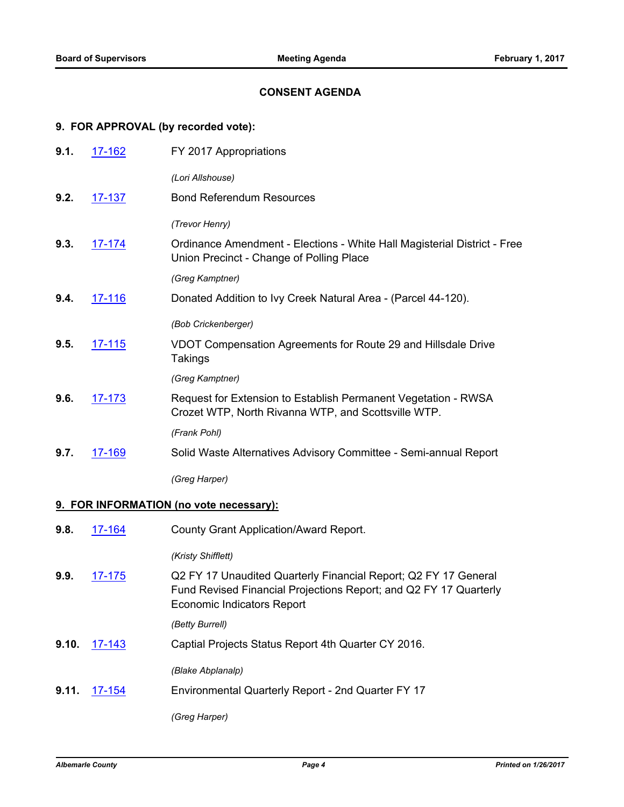#### **CONSENT AGENDA**

#### **9. FOR APPROVAL (by recorded vote):**

| 9.1. | 17-162        | FY 2017 Appropriations                                                                                                |
|------|---------------|-----------------------------------------------------------------------------------------------------------------------|
|      |               | (Lori Allshouse)                                                                                                      |
| 9.2. | 17-137        | <b>Bond Referendum Resources</b>                                                                                      |
|      |               | (Trevor Henry)                                                                                                        |
| 9.3. | 17-174        | Ordinance Amendment - Elections - White Hall Magisterial District - Free<br>Union Precinct - Change of Polling Place  |
|      |               | (Greg Kamptner)                                                                                                       |
| 9.4. | 17-116        | Donated Addition to Ivy Creek Natural Area - (Parcel 44-120).                                                         |
|      |               | (Bob Crickenberger)                                                                                                   |
| 9.5. | <u>17-115</u> | VDOT Compensation Agreements for Route 29 and Hillsdale Drive<br><b>Takings</b>                                       |
|      |               | (Greg Kamptner)                                                                                                       |
| 9.6. | 17-173        | Request for Extension to Establish Permanent Vegetation - RWSA<br>Crozet WTP, North Rivanna WTP, and Scottsville WTP. |
|      |               | (Frank Pohl)                                                                                                          |
| 9.7. | 17-169        | Solid Waste Alternatives Advisory Committee - Semi-annual Report                                                      |
|      |               | (Greg Harper)                                                                                                         |
|      |               | 9. FOR INFORMATION (no vote necessary):                                                                               |
| 9.8. | 17-164        | County Grant Application/Award Report.                                                                                |
|      |               | (Kristy Shifflett)                                                                                                    |
| 9.9. | 17-175        | Q2 FY 17 Unaudited Quarterly Financial Report; Q2 FY 17 General                                                       |

Fund Revised Financial Projections Report; and Q2 FY 17 Quarterly Economic Indicators Report

*(Betty Burrell)*

**9.10.** [17-143](http://albemarle.legistar.com/gateway.aspx?m=l&id=/matter.aspx?key=2425) Captial Projects Status Report 4th Quarter CY 2016.

*(Blake Abplanalp)*

**9.11.** [17-154](http://albemarle.legistar.com/gateway.aspx?m=l&id=/matter.aspx?key=2436) Environmental Quarterly Report - 2nd Quarter FY 17

*(Greg Harper)*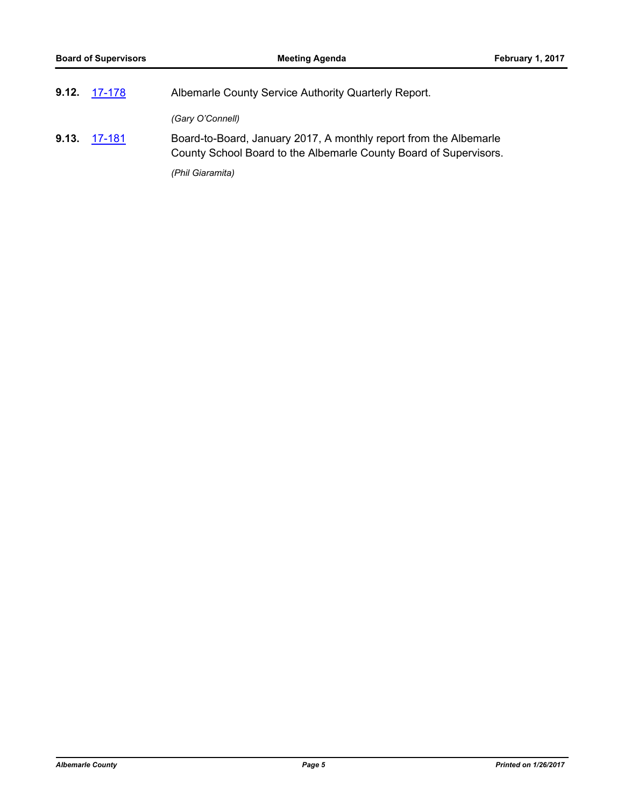| $9.12.$ 17-178 | Albemarle County Service Authority Quarterly Report.                                                                                   |
|----------------|----------------------------------------------------------------------------------------------------------------------------------------|
|                | (Gary O'Connell)                                                                                                                       |
| 9.13. 17-181   | Board-to-Board, January 2017, A monthly report from the Albemarle<br>County School Board to the Albemarle County Board of Supervisors. |
|                | (Phil Giaramita)                                                                                                                       |